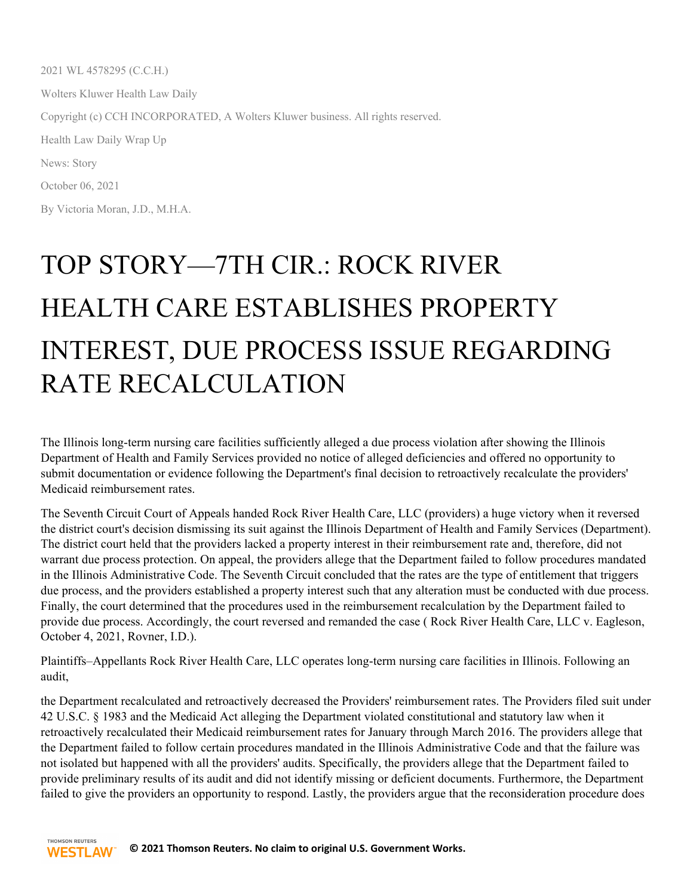2021 WL 4578295 (C.C.H.) Wolters Kluwer Health Law Daily Copyright (c) CCH INCORPORATED, A Wolters Kluwer business. All rights reserved. Health Law Daily Wrap Up News: Story October 06, 2021 By Victoria Moran, J.D., M.H.A.

## TOP STORY—7TH CIR.: ROCK RIVER HEALTH CARE ESTABLISHES PROPERTY INTEREST, DUE PROCESS ISSUE REGARDING RATE RECALCULATION

The Illinois long-term nursing care facilities sufficiently alleged a due process violation after showing the Illinois Department of Health and Family Services provided no notice of alleged deficiencies and offered no opportunity to submit documentation or evidence following the Department's final decision to retroactively recalculate the providers' Medicaid reimbursement rates.

The Seventh Circuit Court of Appeals handed Rock River Health Care, LLC (providers) a huge victory when it reversed the district court's decision dismissing its suit against the Illinois Department of Health and Family Services (Department). The district court held that the providers lacked a property interest in their reimbursement rate and, therefore, did not warrant due process protection. On appeal, the providers allege that the Department failed to follow procedures mandated in the Illinois Administrative Code. The Seventh Circuit concluded that the rates are the type of entitlement that triggers due process, and the providers established a property interest such that any alteration must be conducted with due process. Finally, the court determined that the procedures used in the reimbursement recalculation by the Department failed to provide due process. Accordingly, the court reversed and remanded the case ( Rock River Health Care, LLC v. Eagleson, October 4, 2021, Rovner, I.D.).

Plaintiffs–Appellants Rock River Health Care, LLC operates long-term nursing care facilities in Illinois. Following an audit,

the Department recalculated and retroactively decreased the Providers' reimbursement rates. The Providers filed suit under 42 U.S.C. § 1983 and the Medicaid Act alleging the Department violated constitutional and statutory law when it retroactively recalculated their Medicaid reimbursement rates for January through March 2016. The providers allege that the Department failed to follow certain procedures mandated in the Illinois Administrative Code and that the failure was not isolated but happened with all the providers' audits. Specifically, the providers allege that the Department failed to provide preliminary results of its audit and did not identify missing or deficient documents. Furthermore, the Department failed to give the providers an opportunity to respond. Lastly, the providers argue that the reconsideration procedure does